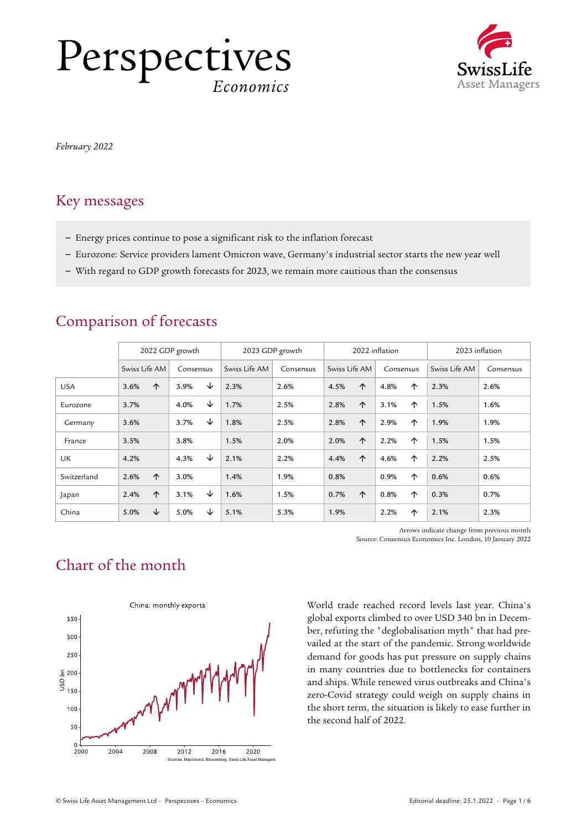## Perspectives *Economics*



*February 2022*

## Key messages

- Energy prices continue to pose a significant risk to the inflation forecast
- Eurozone: Service providers lament Omicron wave, Germany's industrial sector starts the new year well
- With regard to GDP growth forecasts for 2023, we remain more cautious than the consensus

|             | 2022 GDP growth |            |           |   | 2023 GDP growth |           | 2022 inflation |            |           |   | 2023 inflation |           |
|-------------|-----------------|------------|-----------|---|-----------------|-----------|----------------|------------|-----------|---|----------------|-----------|
|             | Swiss Life AM   |            | Consensus |   | Swiss Life AM   | Consensus | Swiss Life AM  |            | Consensus |   | Swiss Life AM  | Consensus |
| <b>USA</b>  | 3.6%            | $\uparrow$ | 3.9%      | ↓ | 2.3%            | 2.6%      | 4.5%           | $\uparrow$ | 4.8%      | 个 | 2.3%           | 2.6%      |
| Eurozone    | 3.7%            |            | 4.0%      | ↓ | 1.7%            | 2.5%      | 2.8%           | 个          | 3.1%      | 个 | 1.5%           | 1.6%      |
| Germany     | 3.6%            |            | 3.7%      | ↓ | 1.8%            | 2.5%      | 2.8%           | 个          | 2.9%      | 个 | 1.9%           | 1.9%      |
| France      | 3.5%            |            | 3.8%      |   | 1.5%            | 2.0%      | 2.0%           | 个          | 2.2%      | 个 | 1.5%           | 1.5%      |
| <b>UK</b>   | 4.2%            |            | 4.3%      | ↓ | 2.1%            | 2.2%      | 4.4%           | $\uparrow$ | 4.6%      | 个 | 2.2%           | 2.5%      |
| Switzerland | 2.6%            | $\uparrow$ | 3.0%      |   | 1.4%            | 1.9%      | 0.8%           |            | 0.9%      | 个 | 0.6%           | 0.6%      |
| Japan       | 2.4%            | 个          | 3.1%      | ↓ | 1.6%            | 1.5%      | 0.7%           | $\uparrow$ | 0.8%      | 个 | 0.3%           | 0.7%      |
| China       | 5.0%            | ↓          | 5.0%      | ↓ | 5.1%            | 5.3%      | 1.9%           |            | 2.2%      | 个 | 2.1%           | 2.3%      |

## Comparison of forecasts

Arrows indicate change from previous month Source: Consensus Economics Inc. London, 10 January 2022

## Chart of the month



World trade reached record levels last year. China's global exports climbed to over USD 340 bn in December, refuting the "deglobalisation myth" that had prevailed at the start of the pandemic. Strong worldwide demand for goods has put pressure on supply chains in many countries due to bottlenecks for containers and ships. While renewed virus outbreaks and China's zero-Covid strategy could weigh on supply chains in the short term, the situation is likely to ease further in the second half of 2022.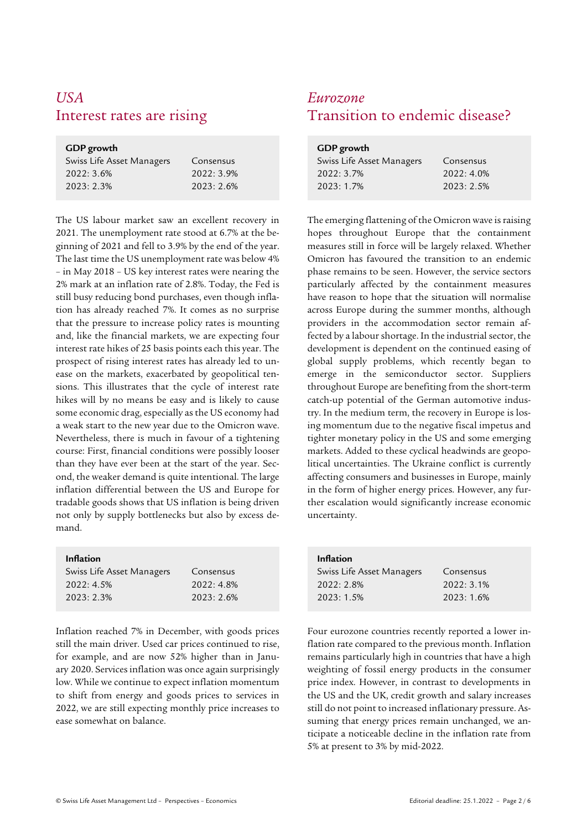# *USA Eurozone*

### **GDP growth**

| Swiss Life Asset Managers | Consensus |
|---------------------------|-----------|
| 2022:3.6%                 | 2022:3.9% |
| 2023:2.3%                 | 2023:2.6% |

The US labour market saw an excellent recovery in 2021. The unemployment rate stood at 6.7% at the beginning of 2021 and fell to 3.9% by the end of the year. The last time the US unemployment rate was below 4% – in May 2018 – US key interest rates were nearing the 2% mark at an inflation rate of 2.8%. Today, the Fed is still busy reducing bond purchases, even though inflation has already reached 7%. It comes as no surprise that the pressure to increase policy rates is mounting and, like the financial markets, we are expecting four interest rate hikes of 25 basis points each this year. The prospect of rising interest rates has already led to unease on the markets, exacerbated by geopolitical tensions. This illustrates that the cycle of interest rate hikes will by no means be easy and is likely to cause some economic drag, especially as the US economy had a weak start to the new year due to the Omicron wave. Nevertheless, there is much in favour of a tightening course: First, financial conditions were possibly looser than they have ever been at the start of the year. Second, the weaker demand is quite intentional. The large inflation differential between the US and Europe for tradable goods shows that US inflation is being driven not only by supply bottlenecks but also by excess demand.

### **Inflation**

| Swiss Life Asset Managers | Consensus |
|---------------------------|-----------|
| 2022:4.5%                 | 2022:4.8% |
| 2023: 2.3%                | 2023:2.6% |
|                           |           |

Inflation reached 7% in December, with goods prices still the main driver. Used car prices continued to rise, for example, and are now 52% higher than in January 2020. Services inflation was once again surprisingly low. While we continue to expect inflation momentum to shift from energy and goods prices to services in 2022, we are still expecting monthly price increases to ease somewhat on balance.

# Interest rates are rising Transition to endemic disease?

| GDP growth                |            |  |  |
|---------------------------|------------|--|--|
| Swiss Life Asset Managers | Consensus  |  |  |
| 2022: 3.7%                | 2022:4.0%  |  |  |
| 2023:1.7%                 | 2023: 2.5% |  |  |

The emerging flattening of the Omicron wave is raising hopes throughout Europe that the containment measures still in force will be largely relaxed. Whether Omicron has favoured the transition to an endemic phase remains to be seen. However, the service sectors particularly affected by the containment measures have reason to hope that the situation will normalise across Europe during the summer months, although providers in the accommodation sector remain affected by a labour shortage. In the industrial sector, the development is dependent on the continued easing of global supply problems, which recently began to emerge in the semiconductor sector. Suppliers throughout Europe are benefiting from the short-term catch-up potential of the German automotive industry. In the medium term, the recovery in Europe is losing momentum due to the negative fiscal impetus and tighter monetary policy in the US and some emerging markets. Added to these cyclical headwinds are geopolitical uncertainties. The Ukraine conflict is currently affecting consumers and businesses in Europe, mainly in the form of higher energy prices. However, any further escalation would significantly increase economic uncertainty.

| <b>Inflation</b>          |           |
|---------------------------|-----------|
| Swiss Life Asset Managers | Consensus |
| $2022:2.8\%$              | 2022:3.1% |
| 2023:1.5%                 | 2023:1.6% |

Four eurozone countries recently reported a lower inflation rate compared to the previous month. Inflation remains particularly high in countries that have a high weighting of fossil energy products in the consumer price index. However, in contrast to developments in the US and the UK, credit growth and salary increases still do not point to increased inflationary pressure. Assuming that energy prices remain unchanged, we anticipate a noticeable decline in the inflation rate from 5% at present to 3% by mid-2022.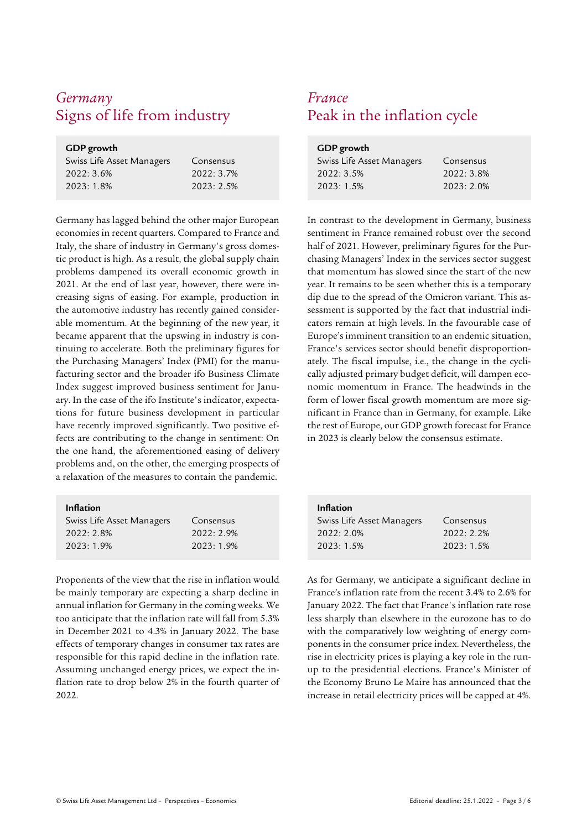## *Germany France* Signs of life from industry Peak in the inflation cycle

### **GDP growth**

| Swiss Life Asset Managers | Consensus  |
|---------------------------|------------|
| 2022:3.6%                 | 2022: 3.7% |
| 2023:1.8%                 | 2023:2.5%  |

Germany has lagged behind the other major European economies in recent quarters. Compared to France and Italy, the share of industry in Germany's gross domestic product is high. As a result, the global supply chain problems dampened its overall economic growth in 2021. At the end of last year, however, there were increasing signs of easing. For example, production in the automotive industry has recently gained considerable momentum. At the beginning of the new year, it became apparent that the upswing in industry is continuing to accelerate. Both the preliminary figures for the Purchasing Managers' Index (PMI) for the manufacturing sector and the broader ifo Business Climate Index suggest improved business sentiment for January. In the case of the ifo Institute's indicator, expectations for future business development in particular have recently improved significantly. Two positive effects are contributing to the change in sentiment: On the one hand, the aforementioned easing of delivery problems and, on the other, the emerging prospects of a relaxation of the measures to contain the pandemic.

### **Inflation**

| Swiss Life Asset Managers | Consensus |
|---------------------------|-----------|
| 2022: 2.8%                | 2022:2.9% |
| $2023:1.9\%$              | 2023:1.9% |

Proponents of the view that the rise in inflation would be mainly temporary are expecting a sharp decline in annual inflation for Germany in the coming weeks. We too anticipate that the inflation rate will fall from 5.3% in December 2021 to 4.3% in January 2022. The base effects of temporary changes in consumer tax rates are responsible for this rapid decline in the inflation rate. Assuming unchanged energy prices, we expect the inflation rate to drop below 2% in the fourth quarter of 2022.

| <b>GDP</b> growth         |            |  |  |
|---------------------------|------------|--|--|
| Swiss Life Asset Managers | Consensus  |  |  |
| 2022: 3.5%                | 2022: 3.8% |  |  |
| 2023:1.5%                 | 2023:2.0%  |  |  |

In contrast to the development in Germany, business sentiment in France remained robust over the second half of 2021. However, preliminary figures for the Purchasing Managers' Index in the services sector suggest that momentum has slowed since the start of the new year. It remains to be seen whether this is a temporary dip due to the spread of the Omicron variant. This assessment is supported by the fact that industrial indicators remain at high levels. In the favourable case of Europe's imminent transition to an endemic situation, France's services sector should benefit disproportionately. The fiscal impulse, i.e., the change in the cyclically adjusted primary budget deficit, will dampen economic momentum in France. The headwinds in the form of lower fiscal growth momentum are more significant in France than in Germany, for example. Like the rest of Europe, our GDP growth forecast for France in 2023 is clearly below the consensus estimate.

| <b>Inflation</b>          |              |
|---------------------------|--------------|
| Swiss Life Asset Managers | Consensus    |
| $2022:2.0\%$              | $2022:2.2\%$ |
| 2023:1.5%                 | 2023:1.5%    |

As for Germany, we anticipate a significant decline in France's inflation rate from the recent 3.4% to 2.6% for January 2022. The fact that France's inflation rate rose less sharply than elsewhere in the eurozone has to do with the comparatively low weighting of energy components in the consumer price index. Nevertheless, the rise in electricity prices is playing a key role in the runup to the presidential elections. France's Minister of the Economy Bruno Le Maire has announced that the increase in retail electricity prices will be capped at 4%.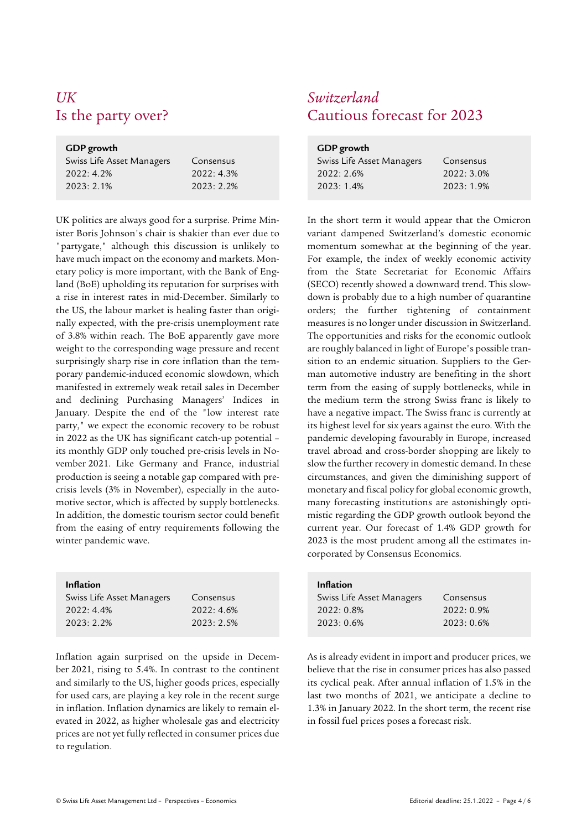# *UK Switzerland*

### **GDP growth**

| Swiss Life Asset Managers | Consensus    |
|---------------------------|--------------|
| 2022: 4.2%                | 2022:4.3%    |
| 2023: 2.1%                | $2023:2.2\%$ |

UK politics are always good for a surprise. Prime Minister Boris Johnson's chair is shakier than ever due to "partygate," although this discussion is unlikely to have much impact on the economy and markets. Monetary policy is more important, with the Bank of England (BoE) upholding its reputation for surprises with a rise in interest rates in mid-December. Similarly to the US, the labour market is healing faster than originally expected, with the pre-crisis unemployment rate of 3.8% within reach. The BoE apparently gave more weight to the corresponding wage pressure and recent surprisingly sharp rise in core inflation than the temporary pandemic-induced economic slowdown, which manifested in extremely weak retail sales in December and declining Purchasing Managers' Indices in January. Despite the end of the "low interest rate party," we expect the economic recovery to be robust in 2022 as the UK has significant catch-up potential – its monthly GDP only touched pre-crisis levels in November 2021. Like Germany and France, industrial production is seeing a notable gap compared with precrisis levels (3% in November), especially in the automotive sector, which is affected by supply bottlenecks. In addition, the domestic tourism sector could benefit from the easing of entry requirements following the winter pandemic wave.

| <b>Inflation</b>          |            |
|---------------------------|------------|
| Swiss Life Asset Managers | Consensus  |
| $2022:4.4\%$              | 2022:4.6%  |
| $2023:2.2\%$              | 2023: 2.5% |

Inflation again surprised on the upside in December 2021, rising to 5.4%. In contrast to the continent and similarly to the US, higher goods prices, especially for used cars, are playing a key role in the recent surge in inflation. Inflation dynamics are likely to remain elevated in 2022, as higher wholesale gas and electricity prices are not yet fully reflected in consumer prices due to regulation.

# Is the party over? Cautious forecast for 2023

| GDP growth                |           |  |  |
|---------------------------|-----------|--|--|
| Swiss Life Asset Managers | Consensus |  |  |
| 2022:2.6%                 | 2022:3.0% |  |  |
| 2023:1.4%                 | 2023:1.9% |  |  |

In the short term it would appear that the Omicron variant dampened Switzerland's domestic economic momentum somewhat at the beginning of the year. For example, the index of weekly economic activity from the State Secretariat for Economic Affairs (SECO) recently showed a downward trend. This slowdown is probably due to a high number of quarantine orders; the further tightening of containment measures is no longer under discussion in Switzerland. The opportunities and risks for the economic outlook are roughly balanced in light of Europe's possible transition to an endemic situation. Suppliers to the German automotive industry are benefiting in the short term from the easing of supply bottlenecks, while in the medium term the strong Swiss franc is likely to have a negative impact. The Swiss franc is currently at its highest level for six years against the euro. With the pandemic developing favourably in Europe, increased travel abroad and cross-border shopping are likely to slow the further recovery in domestic demand. In these circumstances, and given the diminishing support of monetary and fiscal policy for global economic growth, many forecasting institutions are astonishingly optimistic regarding the GDP growth outlook beyond the current year. Our forecast of 1.4% GDP growth for 2023 is the most prudent among all the estimates incorporated by Consensus Economics.

| <b>Inflation</b>          |              |
|---------------------------|--------------|
| Swiss Life Asset Managers | Consensus    |
| $2022:0.8\%$              | $2022:0.9\%$ |
| 2023:0.6%                 | 2023:0.6%    |

As is already evident in import and producer prices, we believe that the rise in consumer prices has also passed its cyclical peak. After annual inflation of 1.5% in the last two months of 2021, we anticipate a decline to 1.3% in January 2022. In the short term, the recent rise in fossil fuel prices poses a forecast risk.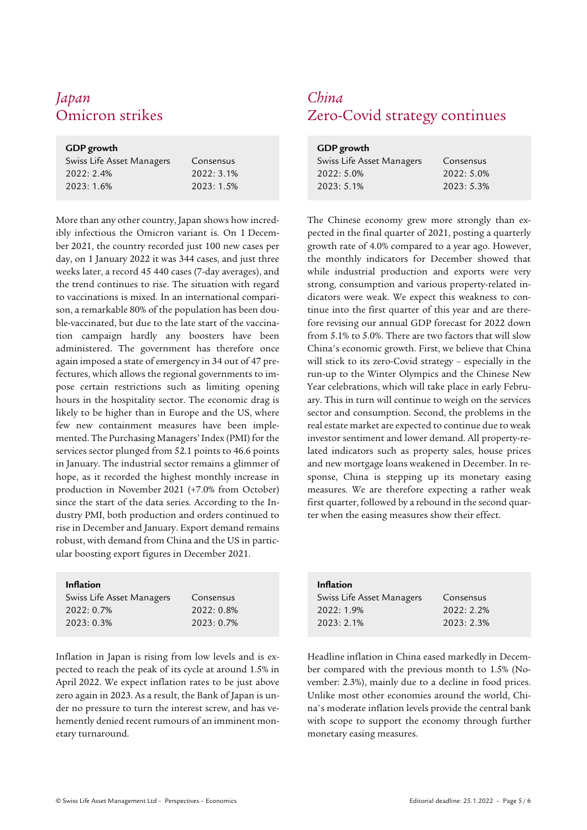# *Japan China*

### **GDP growth**

| Swiss Life Asset Managers | Consensus |
|---------------------------|-----------|
| 2022: 2.4%                | 2022:3.1% |
| 2023: 1.6%                | 2023:1.5% |

More than any other country, Japan shows how incredibly infectious the Omicron variant is. On 1 December 2021, the country recorded just 100 new cases per day, on 1 January 2022 it was 344 cases, and just three weeks later, a record 45 440 cases (7-day averages), and the trend continues to rise. The situation with regard to vaccinations is mixed. In an international comparison, a remarkable 80% of the population has been double-vaccinated, but due to the late start of the vaccination campaign hardly any boosters have been administered. The government has therefore once again imposed a state of emergency in 34 out of 47 prefectures, which allows the regional governments to impose certain restrictions such as limiting opening hours in the hospitality sector. The economic drag is likely to be higher than in Europe and the US, where few new containment measures have been implemented. The Purchasing Managers' Index (PMI) for the services sector plunged from 52.1 points to 46.6 points in January. The industrial sector remains a glimmer of hope, as it recorded the highest monthly increase in production in November 2021 (+7.0% from October) since the start of the data series. According to the Industry PMI, both production and orders continued to rise in December and January. Export demand remains robust, with demand from China and the US in particular boosting export figures in December 2021.

### **Inflation**

| Swiss Life Asset Managers | Consensus    |
|---------------------------|--------------|
| 2022:0.7%                 | $2022:0.8\%$ |
| 2023:0.3%                 | $2023:0.7\%$ |

Inflation in Japan is rising from low levels and is expected to reach the peak of its cycle at around 1.5% in April 2022. We expect inflation rates to be just above zero again in 2023. As a result, the Bank of Japan is under no pressure to turn the interest screw, and has vehemently denied recent rumours of an imminent monetary turnaround.

# Omicron strikes Zero-Covid strategy continues

| GDP growth                |           |
|---------------------------|-----------|
| Swiss Life Asset Managers | Consensus |
| $2022:5.0\%$              | 2022:5.0% |
| 2023:5.1%                 | 2023:5.3% |
|                           |           |

 The Chinese economy grew more strongly than expected in the final quarter of 2021, posting a quarterly growth rate of 4.0% compared to a year ago. However, the monthly indicators for December showed that while industrial production and exports were very strong, consumption and various property-related indicators were weak. We expect this weakness to continue into the first quarter of this year and are therefore revising our annual GDP forecast for 2022 down from 5.1% to 5.0%. There are two factors that will slow China's economic growth. First, we believe that China will stick to its zero-Covid strategy – especially in the run-up to the Winter Olympics and the Chinese New Year celebrations, which will take place in early February. This in turn will continue to weigh on the services sector and consumption. Second, the problems in the real estate market are expected to continue due to weak investor sentiment and lower demand. All property-related indicators such as property sales, house prices and new mortgage loans weakened in December. In response, China is stepping up its monetary easing measures. We are therefore expecting a rather weak first quarter, followed by a rebound in the second quarter when the easing measures show their effect.

| <b>Inflation</b>          |              |
|---------------------------|--------------|
| Swiss Life Asset Managers | Consensus    |
| 2022:1.9%                 | $2022:2.2\%$ |
| 2023:2.1%                 | 2023: 2.3%   |

Headline inflation in China eased markedly in December compared with the previous month to 1.5% (November: 2.3%), mainly due to a decline in food prices. Unlike most other economies around the world, China's moderate inflation levels provide the central bank with scope to support the economy through further monetary easing measures.